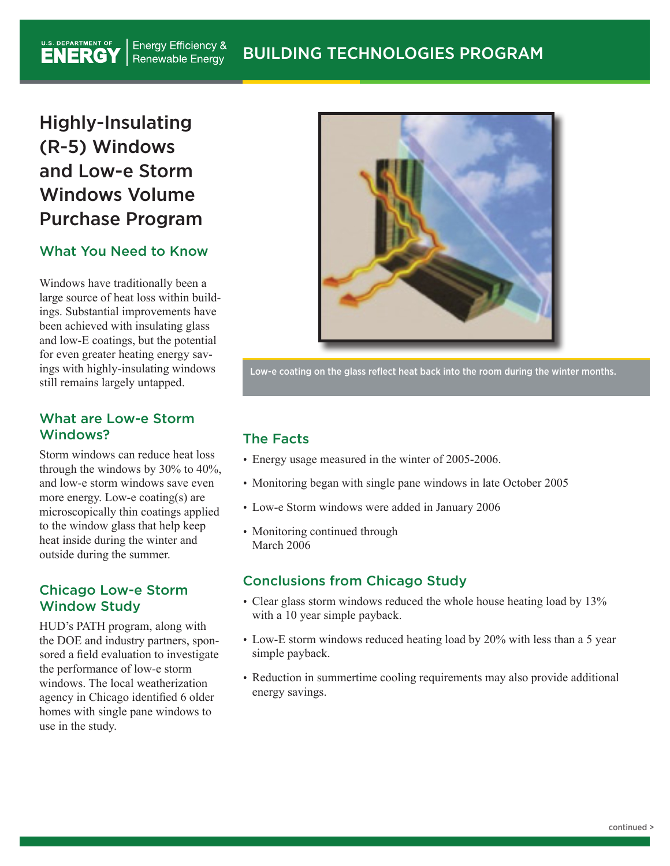#### U.S. DEPARTMENT OF **Energy Efficiency &** BUILDING TECHNOLOGIES PROGRAM **Renewable Energy**

# Highly-Insulating (R-5) Windows and Low-e Storm Windows Volume Purchase Program

#### What You Need to Know

Windows have traditionally been a large source of heat loss within buildings. Substantial improvements have been achieved with insulating glass and low-E coatings, but the potential for even greater heating energy savings with highly-insulating windows still remains largely untapped.

#### What are Low-e Storm Windows?

Storm windows can reduce heat loss through the windows by 30% to 40%, and low-e storm windows save even more energy. Low-e coating(s) are microscopically thin coatings applied to the window glass that help keep heat inside during the winter and outside during the summer.

#### Chicago Low-e Storm Window Study

HUD's PATH program, along with the DOE and industry partners, sponsored a field evaluation to investigate the performance of low-e storm windows. The local weatherization agency in Chicago identified 6 older homes with single pane windows to use in the study.



Low-e coating on the glass reflect heat back into the room during the winter months.

## The Facts

- Energy usage measured in the winter of 2005-2006.
- Monitoring began with single pane windows in late October 2005
- Low-e Storm windows were added in January 2006
- Monitoring continued through March 2006

#### Conclusions from Chicago Study

- Clear glass storm windows reduced the whole house heating load by 13% with a 10 year simple payback.
- Low-E storm windows reduced heating load by 20% with less than a 5 year simple payback.
- Reduction in summertime cooling requirements may also provide additional energy savings.